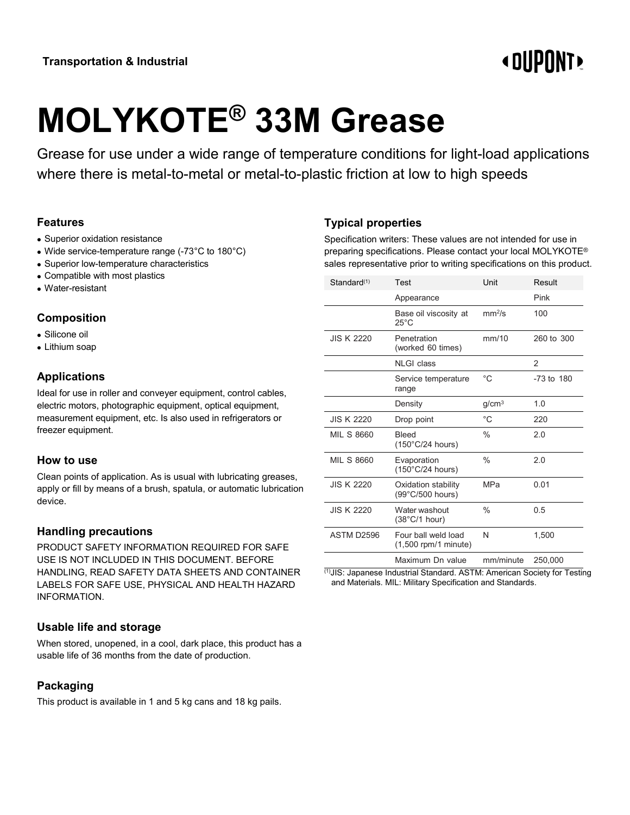# **«OUPONT»**

# **MOLYKOTE® 33M Grease**

Grease for use under a wide range of temperature conditions for light-load applications where there is metal-to-metal or metal-to-plastic friction at low to high speeds

# **Features**

- Superior oxidation resistance
- Wide service-temperature range (-73°C to 180°C)
- Superior low-temperature characteristics
- Compatible with most plastics
- Water-resistant

#### **Composition**

- Silicone oil
- Lithium soap

# **Applications**

Ideal for use in roller and conveyer equipment, control cables, electric motors, photographic equipment, optical equipment, measurement equipment, etc. Is also used in refrigerators or freezer equipment.

#### **How to use**

Clean points of application. As is usual with lubricating greases, apply or fill by means of a brush, spatula, or automatic lubrication device.

# **Handling precautions**

PRODUCT SAFETY INFORMATION REQUIRED FOR SAFE USE IS NOT INCLUDED IN THIS DOCUMENT. BEFORE HANDLING, READ SAFETY DATA SHEETS AND CONTAINER LABELS FOR SAFE USE, PHYSICAL AND HEALTH HAZARD INFORMATION.

# **Usable life and storage**

When stored, unopened, in a cool, dark place, this product has a usable life of 36 months from the date of production.

# **Packaging**

This product is available in 1 and 5 kg cans and 18 kg pails.

# **Typical properties**

Specification writers: These values are not intended for use in preparing specifications. Please contact your local MOLYKOTE® sales representative prior to writing specifications on this product.

| Standard(1)       | Test                                          | Unit               | Result         |
|-------------------|-----------------------------------------------|--------------------|----------------|
|                   | Appearance                                    |                    | Pink           |
|                   | Base oil viscosity at<br>$25^{\circ}$ C       | mm <sup>2</sup> /s | 100            |
| <b>JIS K 2220</b> | Penetration<br>(worked 60 times)              | mm/10              | 260 to 300     |
|                   | <b>NLGI</b> class                             |                    | $\mathcal{P}$  |
|                   | Service temperature<br>range                  | $^{\circ}$ C       | $-73$ to $180$ |
|                   | Density                                       | g/cm <sup>3</sup>  | 1.0            |
| <b>JIS K 2220</b> | Drop point                                    | $^{\circ}$ C       | 220            |
| <b>MIL S 8660</b> | <b>Bleed</b><br>$(150^{\circ}C/24$ hours)     | $\%$               | 2.0            |
| <b>MIL S 8660</b> | Evaporation<br>$(150^{\circ}$ C/24 hours)     | $\frac{0}{0}$      | 20             |
| <b>JIS K 2220</b> | Oxidation stability<br>(99°C/500 hours)       | <b>MPa</b>         | 0.01           |
| <b>JIS K 2220</b> | Water washout<br>$(38^{\circ}C/1$ hour)       | $\%$               | 0.5            |
| ASTM D2596        | Four ball weld load<br>$(1,500$ rpm/1 minute) | N                  | 1,500          |
|                   | Maximum Dn value                              | mm/minute          | 250,000        |

(1)JIS: Japanese Industrial Standard. ASTM: American Society for Testing and Materials. MIL: Military Specification and Standards.